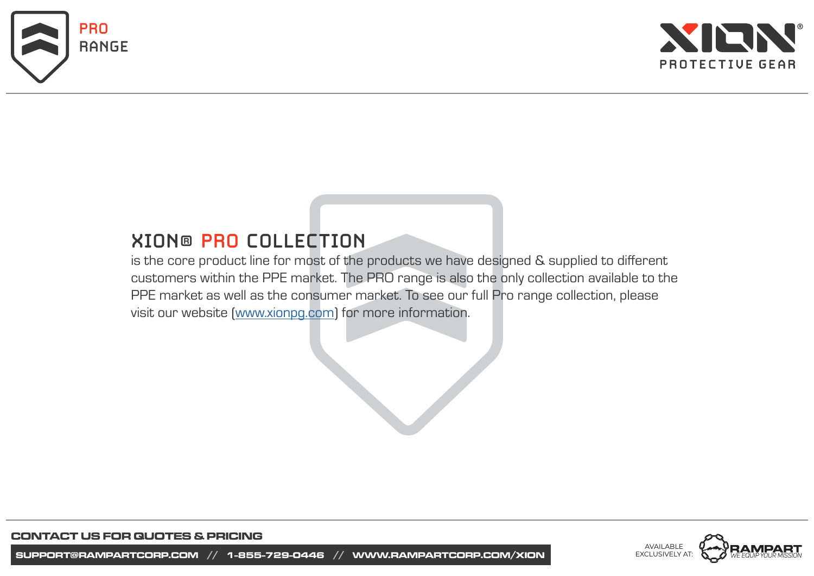



# **XION® PRO COLLECTION**

is the core product line for most of the products we have designed & supplied to different customers within the PPE market. The PRO range is also the only collection available to the PPE market as well as the consumer market. To see our full Pro range collection, please visit our website ([www.xionpg.com\)](https://xionpg.com/body-protection/pro-range/) for more information.

> AVAILABLE EXCLUSIVELY AT: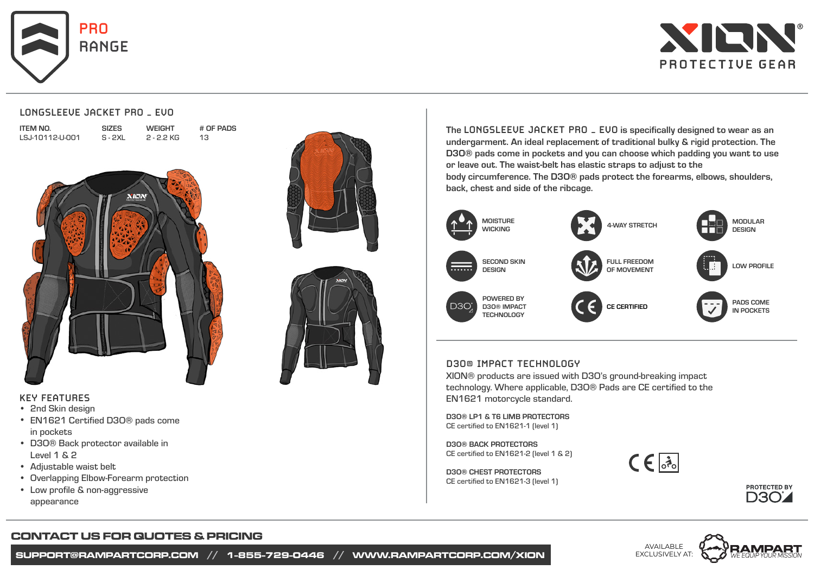



#### **LONGSLEEVE JACKET PRO – EVO**

SIZES S - 2XL

| <b>ITEM NO.</b> |                 |
|-----------------|-----------------|
|                 | LSJ-10112-U-001 |

**WEIGHT** 2 - 2.2 KG # OF PADS 13







#### **KEY FEATURES**

- 2nd Skin design
- EN1621 Certified D3O® pads come in pockets
- D30® Back protector available in Level 1 & 2
- Adjustable waist belt •
- Overlapping Elbow-Forearm protection •
- Low profile & non-aggressive appearance

# The **LONGSLEEVE JACKET PRO – EVO** is specifically designed to wear as an undergarment. An ideal replacement of traditional bulky & rigid protection. The D3O® pads come in pockets and you can choose which padding you want to use or leave out. The waist-belt has elastic straps to adjust to the

body circumference. The D3O® pads protect the forearms, elbows, shoulders, back, chest and side of the ribcage.



#### **D3O® IMPACT TECHNOLOGY**

XION® products are issued with D3O's ground-breaking impact technology. Where applicable, D3O® Pads are CE certified to the EN1621 motorcycle standard.

D3O® LP1 & T6 LIMB PROTECTORS CE certified to EN1621-1 (level 1)

D3O® BACK PROTECTORS CE certified to EN1621-2 (level 1 & 2)

D3O® CHEST PROTECTORS CE certified to EN1621-3 (level 1)





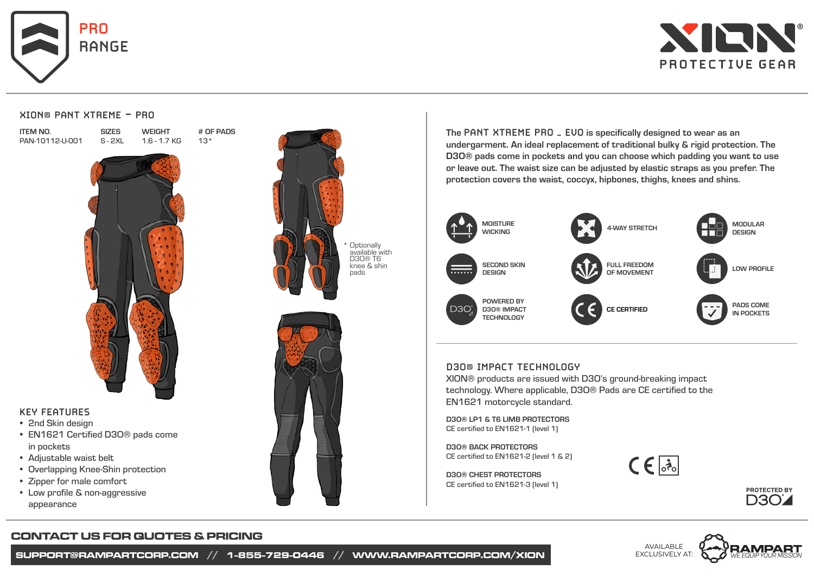



#### **XION® PANT XTREME - PRO**

**SIZES** S - 2XL

| item No. |                 |  |
|----------|-----------------|--|
|          | PAN-10112-U-001 |  |

**WEIGHT** 1.6 - 1.7 KG # OF PADS 13\*



# **KEY FEATURES**

- 2nd Skin design
- EN1621 Certified D3O® pads come in pockets
- Adjustable waist belt
- Overlapping Knee-Shin protection •
- Zipper for male comfort
- Low profile & non-aggressive appearance





The **PANT XTREME PRO – EVO** is specifically designed to wear as an undergarment. An ideal replacement of traditional bulky & rigid protection. The D3O® pads come in pockets and you can choose which padding you want to use or leave out. The waist size can be adjusted by elastic straps as you prefer. The protection covers the waist, coccyx, hipbones, thighs, knees and shins.



#### **D3O® IMPACT TECHNOLOGY**

XION® products are issued with D3O's ground-breaking impact technology. Where applicable, D3O® Pads are CE certified to the EN1621 motorcycle standard.

D3O® LP1 & T6 LIMB PROTECTORS CE certified to EN1621-1 (level 1)

D3O® BACK PROTECTORS CE certified to EN1621-2 (level 1 & 2)

D3O® CHEST PROTECTORS CE certified to EN1621-3 (level 1)





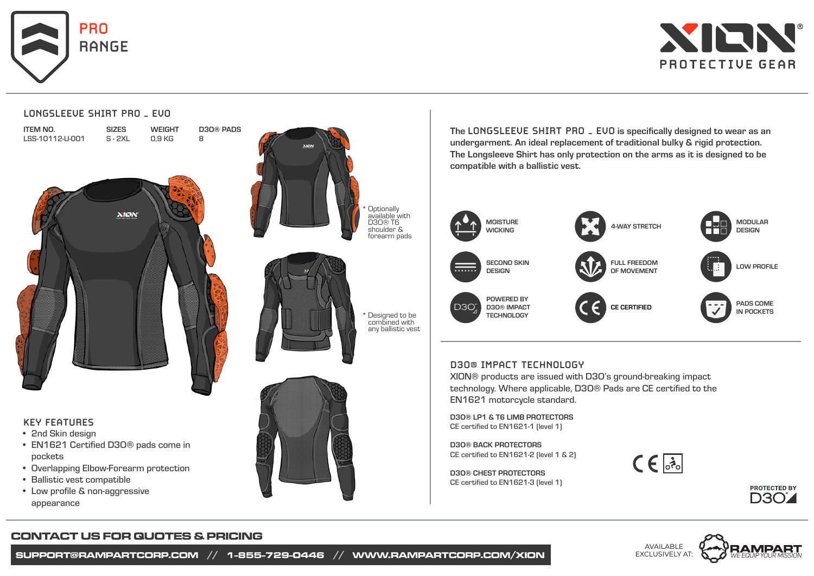

**LONGSLEEVE SHIRT PRO – EVO**



# ITEM NO. SIZES D3O® PADS **WEIGHT** LSS-10112-U-001 S - 2XL 0,9 KG 8 **XIEW**



- 2nd Skin design
- EN1621 Certified D3O® pads come in pockets
- Overlapping Elbow-Forearm protection
- Ballistic vest compatible
- Low profile & non-aggressive appearance



shoulder & forearm pads

any ballistic vest

The **LONGSLEEVE SHIRT PRO – EVO** is specifically designed to wear as an undergarment. An ideal replacement of traditional bulky & rigid protection. The Longsleeve Shirt has only protection on the arms as it is designed to be compatible with a ballistic vest.



# **D3O® IMPACT TECHNOLOGY**

XION® products are issued with D3O's ground-breaking impact technology. Where applicable, D3O® Pads are CE certified to the EN1621 motorcycle standard.

D3O® LP1 & T6 LIMB PROTECTORS CE certified to EN1621-1 (level 1)

D3O® BACK PROTECTORS CE certified to EN1621-2 (level 1 & 2)

D3O® CHEST PROTECTORS CE certified to EN1621-3 (level 1)